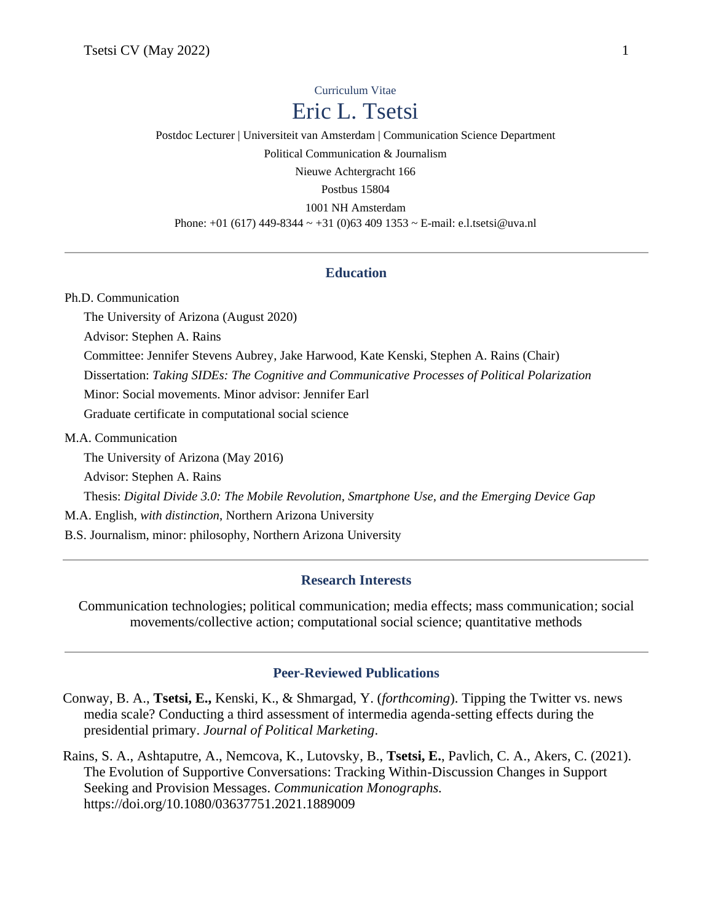# Curriculum Vitae Eric L. Tsetsi

Postdoc Lecturer | Universiteit van Amsterdam | Communication Science Department Political Communication & Journalism Nieuwe Achtergracht 166 Postbus 15804 1001 NH Amsterdam Phone: +01 (617) 449-8344 ~ +31 (0)63 409 1353 ~ E-mail: e.l.tsetsi@uva.nl

### **Education**

Ph.D. Communication

The University of Arizona (August 2020)

Advisor: Stephen A. Rains

Committee: Jennifer Stevens Aubrey, Jake Harwood, Kate Kenski, Stephen A. Rains (Chair)

Dissertation: *Taking SIDEs: The Cognitive and Communicative Processes of Political Polarization*

Minor: Social movements. Minor advisor: Jennifer Earl

Graduate certificate in computational social science

#### M.A. Communication

The University of Arizona (May 2016)

Advisor: Stephen A. Rains

Thesis: *Digital Divide 3.0: The Mobile Revolution, Smartphone Use, and the Emerging Device Gap*

M.A. English, *with distinction*, Northern Arizona University

B.S. Journalism, minor: philosophy, Northern Arizona University

#### **Research Interests**

Communication technologies; political communication; media effects; mass communication; social movements/collective action; computational social science; quantitative methods

# **Peer-Reviewed Publications**

Conway, B. A., **Tsetsi, E.,** Kenski, K., & Shmargad, Y. (*forthcoming*). Tipping the Twitter vs. news media scale? Conducting a third assessment of intermedia agenda-setting effects during the presidential primary. *Journal of Political Marketing*.

Rains, S. A., Ashtaputre, A., Nemcova, K., Lutovsky, B., **Tsetsi, E.**, Pavlich, C. A., Akers, C. (2021). The Evolution of Supportive Conversations: Tracking Within-Discussion Changes in Support Seeking and Provision Messages. *Communication Monographs.*  https://doi.org/10.1080/03637751.2021.1889009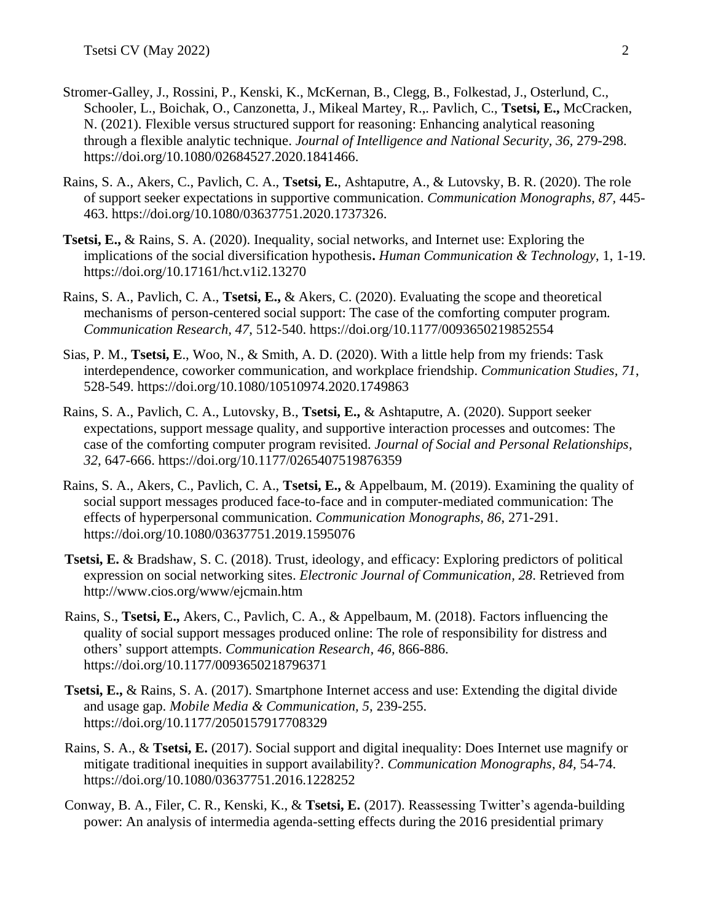- Stromer-Galley, J., Rossini, P., Kenski, K., McKernan, B., Clegg, B., Folkestad, J., Osterlund, C., Schooler, L., Boichak, O., Canzonetta, J., Mikeal Martey, R.,. Pavlich, C., **Tsetsi, E.,** McCracken, N. (2021). Flexible versus structured support for reasoning: Enhancing analytical reasoning through a flexible analytic technique. *Journal of Intelligence and National Security, 36,* 279-298. https://doi.org/10.1080/02684527.2020.1841466.
- Rains, S. A., Akers, C., Pavlich, C. A., **Tsetsi, E.**, Ashtaputre, A., & Lutovsky, B. R. (2020). The role of support seeker expectations in supportive communication. *Communication Monographs, 87,* 445- 463. https://doi.org/10.1080/03637751.2020.1737326.
- **Tsetsi, E.,** & Rains, S. A. (2020). Inequality, social networks, and Internet use: Exploring the implications of the social diversification hypothesis**.** *Human Communication & Technology*, 1, 1-19. https://doi.org/10.17161/hct.v1i2.13270
- Rains, S. A., Pavlich, C. A., **Tsetsi, E.,** & Akers, C. (2020). Evaluating the scope and theoretical mechanisms of person-centered social support: The case of the comforting computer program*. Communication Research, 47*, 512-540. https://doi.org/10.1177/0093650219852554
- Sias, P. M., **Tsetsi, E**., Woo, N., & Smith, A. D. (2020). With a little help from my friends: Task interdependence, coworker communication, and workplace friendship. *Communication Studies, 71*, 528-549. https://doi.org/10.1080/10510974.2020.1749863
- Rains, S. A., Pavlich, C. A., Lutovsky, B., **Tsetsi, E.,** & Ashtaputre, A. (2020). Support seeker expectations, support message quality, and supportive interaction processes and outcomes: The case of the comforting computer program revisited. *Journal of Social and Personal Relationships, 32,* 647-666. https://doi.org/10.1177/0265407519876359
- Rains, S. A., Akers, C., Pavlich, C. A., **Tsetsi, E.,** & Appelbaum, M. (2019). Examining the quality of social support messages produced face-to-face and in computer-mediated communication: The effects of hyperpersonal communication. *Communication Monographs, 86*, 271-291. https://doi.org/10.1080/03637751.2019.1595076
- **Tsetsi, E.** & Bradshaw, S. C. (2018). Trust, ideology, and efficacy: Exploring predictors of political expression on social networking sites. *Electronic Journal of Communication, 28*. Retrieved from http://www.cios.org/www/ejcmain.htm
- Rains, S., **Tsetsi, E.,** Akers, C., Pavlich, C. A., & Appelbaum, M. (2018). Factors influencing the quality of social support messages produced online: The role of responsibility for distress and others' support attempts. *Communication Research, 46,* 866-886. https://doi.org/10.1177/0093650218796371
- **Tsetsi, E.,** & Rains, S. A. (2017). Smartphone Internet access and use: Extending the digital divide and usage gap. *Mobile Media & Communication, 5,* 239-255. https://doi.org/10.1177/2050157917708329
- Rains, S. A., & **Tsetsi, E.** (2017). Social support and digital inequality: Does Internet use magnify or mitigate traditional inequities in support availability?. *Communication Monographs*, *84,* 54-74. https://doi.org/10.1080/03637751.2016.1228252
- Conway, B. A., Filer, C. R., Kenski, K., & **Tsetsi, E.** (2017). Reassessing Twitter's agenda-building power: An analysis of intermedia agenda-setting effects during the 2016 presidential primary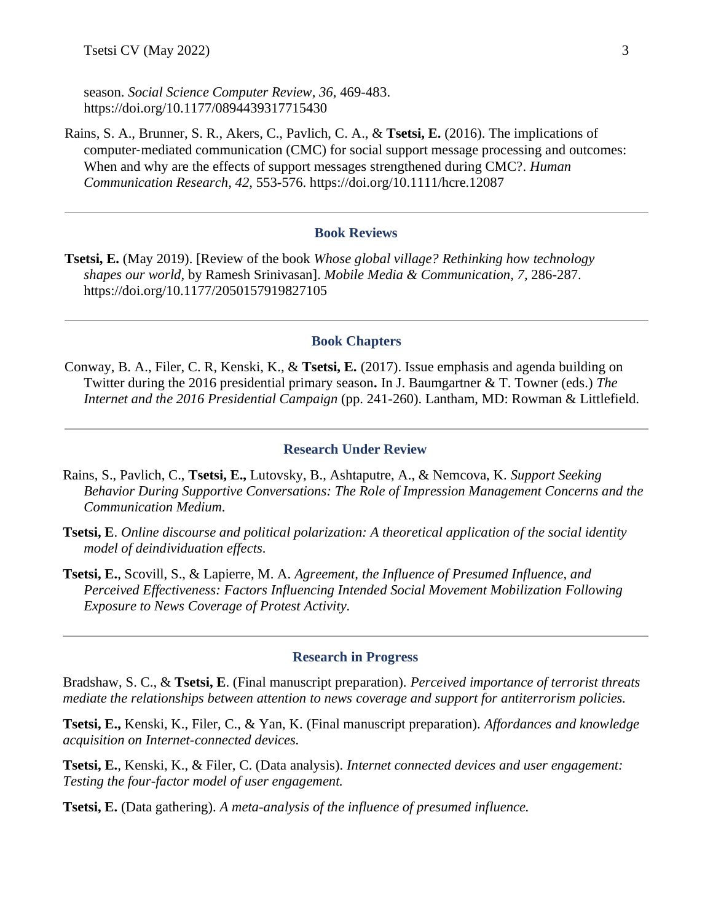season. *Social Science Computer Review, 36,* 469-483. https://doi.org/10.1177/0894439317715430

Rains, S. A., Brunner, S. R., Akers, C., Pavlich, C. A., & **Tsetsi, E.** (2016). The implications of computer-mediated communication (CMC) for social support message processing and outcomes: When and why are the effects of support messages strengthened during CMC?. *Human Communication Research, 42,* 553-576. https://doi.org/10.1111/hcre.12087

### **Book Reviews**

**Tsetsi, E.** (May 2019). [Review of the book *Whose global village? Rethinking how technology shapes our world,* by Ramesh Srinivasan]. *Mobile Media & Communication, 7,* 286-287. https://doi.org/10.1177/2050157919827105

#### **Book Chapters**

Conway, B. A., Filer, C. R, Kenski, K., & **Tsetsi, E.** (2017). Issue emphasis and agenda building on Twitter during the 2016 presidential primary season**.** In J. Baumgartner & T. Towner (eds.) *The Internet and the 2016 Presidential Campaign* (pp. 241-260). Lantham, MD: Rowman & Littlefield.

#### **Research Under Review**

- Rains, S., Pavlich, C., **Tsetsi, E.,** Lutovsky, B., Ashtaputre, A., & Nemcova, K. *Support Seeking Behavior During Supportive Conversations: The Role of Impression Management Concerns and the Communication Medium.*
- **Tsetsi, E**. *Online discourse and political polarization: A theoretical application of the social identity model of deindividuation effects.*
- **Tsetsi, E.**, Scovill, S., & Lapierre, M. A. *Agreement, the Influence of Presumed Influence, and Perceived Effectiveness: Factors Influencing Intended Social Movement Mobilization Following Exposure to News Coverage of Protest Activity.*

#### **Research in Progress**

Bradshaw, S. C., & **Tsetsi, E**. (Final manuscript preparation). *Perceived importance of terrorist threats mediate the relationships between attention to news coverage and support for antiterrorism policies.*

**Tsetsi, E.,** Kenski, K., Filer, C., & Yan, K. (Final manuscript preparation). *Affordances and knowledge acquisition on Internet-connected devices.* 

**Tsetsi, E.***,* Kenski, K., & Filer, C. (Data analysis). *Internet connected devices and user engagement: Testing the four-factor model of user engagement.* 

**Tsetsi, E.** (Data gathering). *A meta-analysis of the influence of presumed influence.*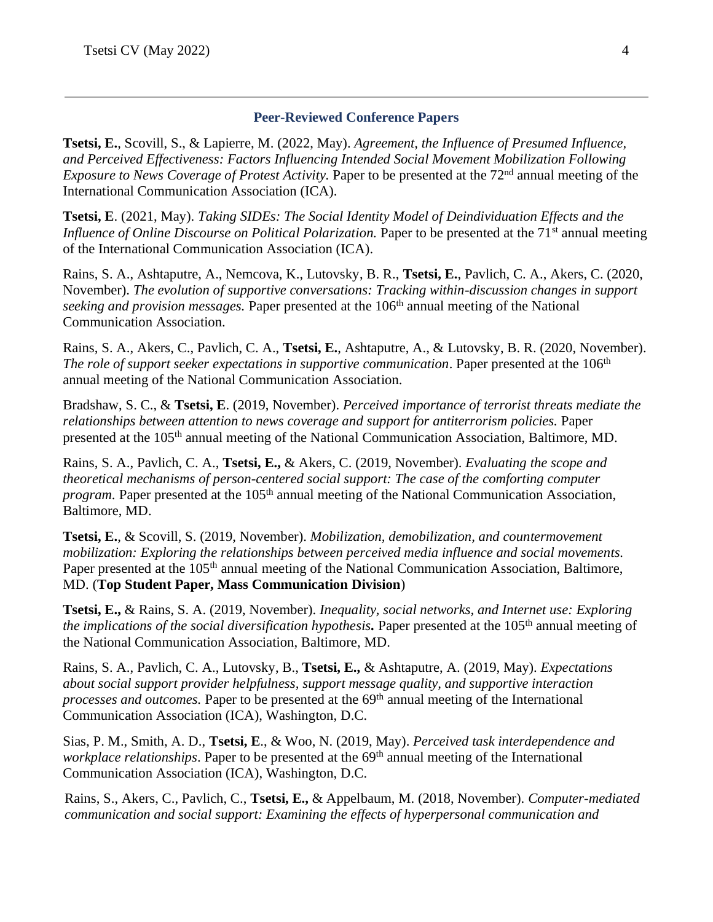# **Peer-Reviewed Conference Papers**

**Tsetsi, E.**, Scovill, S., & Lapierre, M. (2022, May). *Agreement, the Influence of Presumed Influence, and Perceived Effectiveness: Factors Influencing Intended Social Movement Mobilization Following Exposure to News Coverage of Protest Activity*. Paper to be presented at the 72<sup>nd</sup> annual meeting of the International Communication Association (ICA).

**Tsetsi, E**. (2021, May). *Taking SIDEs: The Social Identity Model of Deindividuation Effects and the Influence of Online Discourse on Political Polarization.* Paper to be presented at the 71<sup>st</sup> annual meeting of the International Communication Association (ICA).

Rains, S. A., Ashtaputre, A., Nemcova, K., Lutovsky, B. R., **Tsetsi, E.**, Pavlich, C. A., Akers, C. (2020, November). *The evolution of supportive conversations: Tracking within-discussion changes in support seeking and provision messages.* Paper presented at the 106<sup>th</sup> annual meeting of the National Communication Association.

Rains, S. A., Akers, C., Pavlich, C. A., **Tsetsi, E.**, Ashtaputre, A., & Lutovsky, B. R. (2020, November). *The role of support seeker expectations in supportive communication*. Paper presented at the 106<sup>th</sup> annual meeting of the National Communication Association.

Bradshaw, S. C., & **Tsetsi, E**. (2019, November). *Perceived importance of terrorist threats mediate the relationships between attention to news coverage and support for antiterrorism policies.* Paper presented at the 105<sup>th</sup> annual meeting of the National Communication Association, Baltimore, MD.

Rains, S. A., Pavlich, C. A., **Tsetsi, E.,** & Akers, C. (2019, November). *Evaluating the scope and theoretical mechanisms of person-centered social support: The case of the comforting computer program.* Paper presented at the 105<sup>th</sup> annual meeting of the National Communication Association, Baltimore, MD.

**Tsetsi, E.**, & Scovill, S. (2019, November). *Mobilization, demobilization, and countermovement mobilization: Exploring the relationships between perceived media influence and social movements.* Paper presented at the 105<sup>th</sup> annual meeting of the National Communication Association, Baltimore, MD. (**Top Student Paper, Mass Communication Division**)

**Tsetsi, E.,** & Rains, S. A. (2019, November). *Inequality, social networks, and Internet use: Exploring the implications of the social diversification hypothesis.* Paper presented at the 105th annual meeting of the National Communication Association, Baltimore, MD.

Rains, S. A., Pavlich, C. A., Lutovsky, B., **Tsetsi, E.,** & Ashtaputre, A. (2019, May). *Expectations about social support provider helpfulness, support message quality, and supportive interaction processes and outcomes.* Paper to be presented at the 69<sup>th</sup> annual meeting of the International Communication Association (ICA), Washington, D.C.

Sias, P. M., Smith, A. D., **Tsetsi, E**., & Woo, N. (2019, May). *Perceived task interdependence and workplace relationships*. Paper to be presented at the 69<sup>th</sup> annual meeting of the International Communication Association (ICA), Washington, D.C.

Rains, S., Akers, C., Pavlich, C., **Tsetsi, E.,** & Appelbaum, M. (2018, November). *Computer-mediated communication and social support: Examining the effects of hyperpersonal communication and*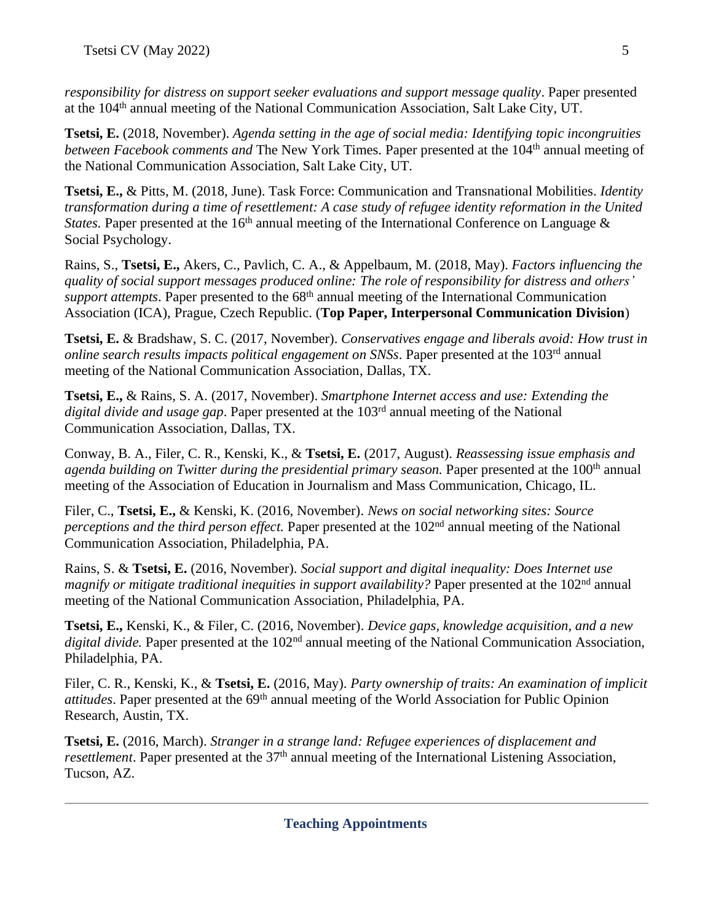*responsibility for distress on support seeker evaluations and support message quality*. Paper presented at the 104th annual meeting of the National Communication Association, Salt Lake City, UT.

**Tsetsi, E.** (2018, November). *Agenda setting in the age of social media: Identifying topic incongruities between Facebook comments and* The New York Times. Paper presented at the 104<sup>th</sup> annual meeting of the National Communication Association, Salt Lake City, UT.

**Tsetsi, E.,** & Pitts, M. (2018, June). Task Force: Communication and Transnational Mobilities. *Identity transformation during a time of resettlement: A case study of refugee identity reformation in the United States.* Paper presented at the  $16<sup>th</sup>$  annual meeting of the International Conference on Language  $\&$ Social Psychology.

Rains, S., **Tsetsi, E.,** Akers, C., Pavlich, C. A., & Appelbaum, M. (2018, May). *Factors influencing the quality of social support messages produced online: The role of responsibility for distress and others' support attempts*. Paper presented to the 68<sup>th</sup> annual meeting of the International Communication Association (ICA), Prague, Czech Republic. (**Top Paper, Interpersonal Communication Division**)

**Tsetsi, E.** & Bradshaw, S. C. (2017, November). *Conservatives engage and liberals avoid: How trust in online search results impacts political engagement on SNSs*. Paper presented at the 103rd annual meeting of the National Communication Association, Dallas, TX.

**Tsetsi, E.,** & Rains, S. A. (2017, November). *Smartphone Internet access and use: Extending the digital divide and usage gap*. Paper presented at the 103rd annual meeting of the National Communication Association, Dallas, TX.

Conway, B. A., Filer, C. R., Kenski, K., & **Tsetsi, E.** (2017, August). *Reassessing issue emphasis and*  agenda building on Twitter during the presidential primary season. Paper presented at the 100<sup>th</sup> annual meeting of the Association of Education in Journalism and Mass Communication, Chicago, IL.

Filer, C., **Tsetsi, E.,** & Kenski, K. (2016, November). *News on social networking sites: Source perceptions and the third person effect.* Paper presented at the 102<sup>nd</sup> annual meeting of the National Communication Association, Philadelphia, PA.

Rains, S. & **Tsetsi, E.** (2016, November). *Social support and digital inequality: Does Internet use magnify or mitigate traditional inequities in support availability?* Paper presented at the 102<sup>nd</sup> annual meeting of the National Communication Association, Philadelphia, PA.

**Tsetsi, E.,** Kenski, K., & Filer, C. (2016, November). *Device gaps, knowledge acquisition, and a new digital divide.* Paper presented at the 102<sup>nd</sup> annual meeting of the National Communication Association, Philadelphia, PA.

Filer, C. R., Kenski, K., & **Tsetsi, E.** (2016, May). *Party ownership of traits: An examination of implicit attitudes*. Paper presented at the 69<sup>th</sup> annual meeting of the World Association for Public Opinion Research, Austin, TX.

**Tsetsi, E.** (2016, March). *Stranger in a strange land: Refugee experiences of displacement and resettlement*. Paper presented at the 37<sup>th</sup> annual meeting of the International Listening Association, Tucson, AZ.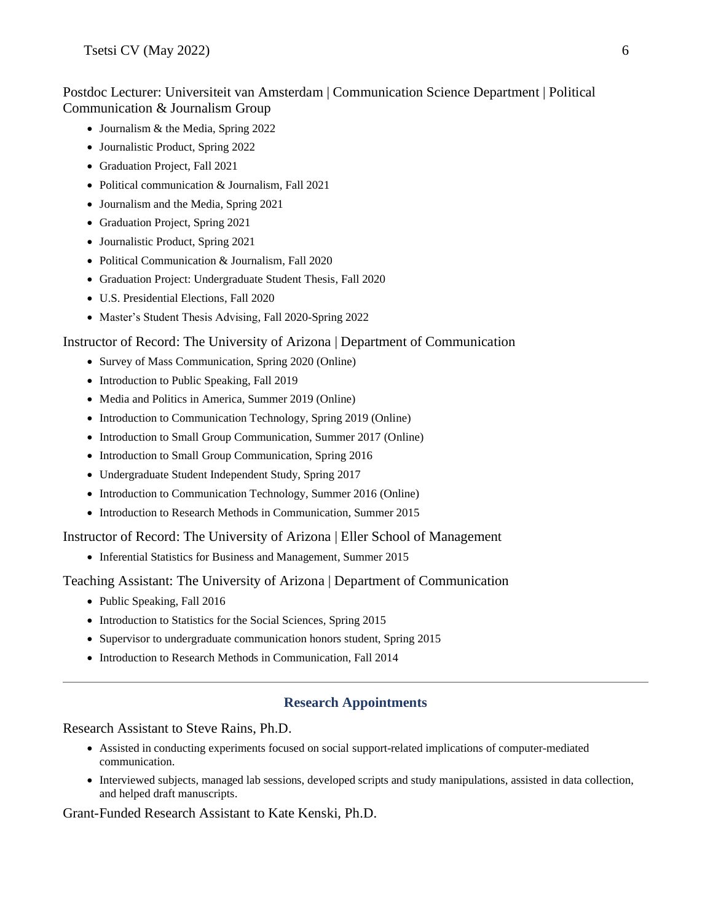# Postdoc Lecturer: Universiteit van Amsterdam | Communication Science Department | Political Communication & Journalism Group

- Journalism & the Media, Spring 2022
- Journalistic Product, Spring 2022
- Graduation Project, Fall 2021
- Political communication & Journalism, Fall 2021
- Journalism and the Media, Spring 2021
- Graduation Project, Spring 2021
- Journalistic Product, Spring 2021
- Political Communication & Journalism, Fall 2020
- Graduation Project: Undergraduate Student Thesis, Fall 2020
- U.S. Presidential Elections, Fall 2020
- Master's Student Thesis Advising, Fall 2020-Spring 2022

#### Instructor of Record: The University of Arizona | Department of Communication

- Survey of Mass Communication, Spring 2020 (Online)
- Introduction to Public Speaking, Fall 2019
- Media and Politics in America, Summer 2019 (Online)
- Introduction to Communication Technology, Spring 2019 (Online)
- Introduction to Small Group Communication, Summer 2017 (Online)
- Introduction to Small Group Communication, Spring 2016
- Undergraduate Student Independent Study, Spring 2017
- Introduction to Communication Technology, Summer 2016 (Online)
- Introduction to Research Methods in Communication, Summer 2015

Instructor of Record: The University of Arizona | Eller School of Management

• Inferential Statistics for Business and Management, Summer 2015

Teaching Assistant: The University of Arizona | Department of Communication

- Public Speaking, Fall 2016
- Introduction to Statistics for the Social Sciences, Spring 2015
- Supervisor to undergraduate communication honors student, Spring 2015
- Introduction to Research Methods in Communication, Fall 2014

### **Research Appointments**

Research Assistant to Steve Rains, Ph.D.

- Assisted in conducting experiments focused on social support-related implications of computer-mediated communication.
- Interviewed subjects, managed lab sessions, developed scripts and study manipulations, assisted in data collection, and helped draft manuscripts.

Grant-Funded Research Assistant to Kate Kenski, Ph.D.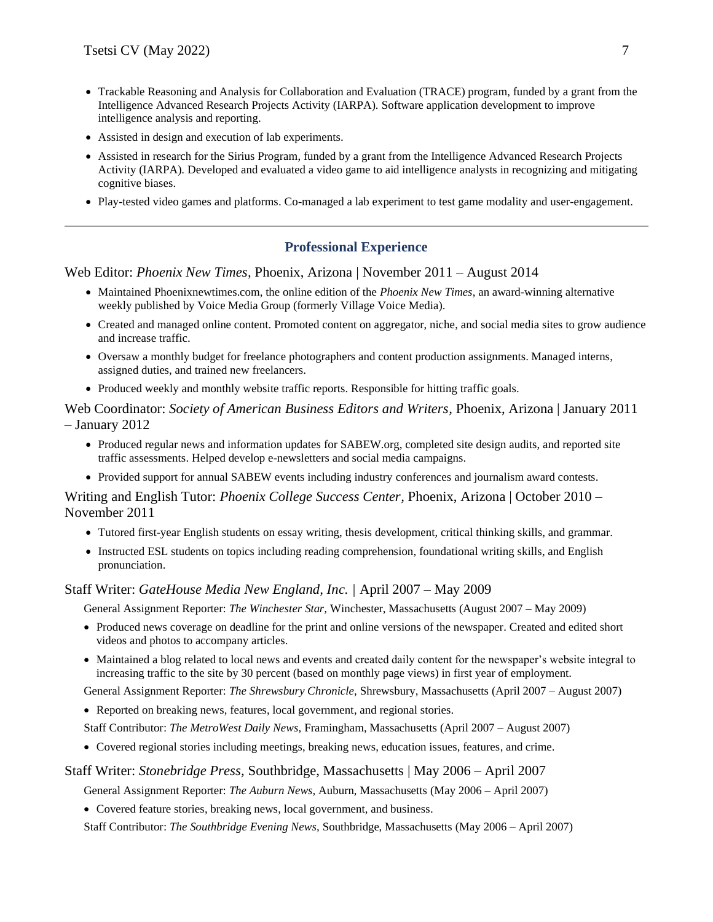- Trackable Reasoning and Analysis for Collaboration and Evaluation (TRACE) program, funded by a grant from the Intelligence Advanced Research Projects Activity (IARPA). Software application development to improve intelligence analysis and reporting.
- Assisted in design and execution of lab experiments.
- Assisted in research for the Sirius Program, funded by a grant from the Intelligence Advanced Research Projects Activity (IARPA). Developed and evaluated a video game to aid intelligence analysts in recognizing and mitigating cognitive biases.
- Play-tested video games and platforms. Co-managed a lab experiment to test game modality and user-engagement.

# **Professional Experience**

Web Editor: *Phoenix New Times,* Phoenix, Arizona | November 2011 – August 2014

- Maintained Phoenixnewtimes.com, the online edition of the *Phoenix New Times*, an award-winning alternative weekly published by Voice Media Group (formerly Village Voice Media).
- Created and managed online content. Promoted content on aggregator, niche, and social media sites to grow audience and increase traffic.
- Oversaw a monthly budget for freelance photographers and content production assignments. Managed interns, assigned duties, and trained new freelancers.
- Produced weekly and monthly website traffic reports. Responsible for hitting traffic goals.

Web Coordinator: *Society of American Business Editors and Writers,* Phoenix, Arizona | January 2011 – January 2012

- Produced regular news and information updates for SABEW.org, completed site design audits, and reported site traffic assessments. Helped develop e-newsletters and social media campaigns.
- Provided support for annual SABEW events including industry conferences and journalism award contests.

Writing and English Tutor: *Phoenix College Success Center,* Phoenix, Arizona | October 2010 – November 2011

- Tutored first-year English students on essay writing, thesis development, critical thinking skills, and grammar.
- Instructed ESL students on topics including reading comprehension, foundational writing skills, and English pronunciation.

#### Staff Writer: *GateHouse Media New England, Inc. |* April 2007 – May 2009

General Assignment Reporter: *The Winchester Star,* Winchester, Massachusetts (August 2007 – May 2009)

- Produced news coverage on deadline for the print and online versions of the newspaper. Created and edited short videos and photos to accompany articles.
- Maintained a blog related to local news and events and created daily content for the newspaper's website integral to increasing traffic to the site by 30 percent (based on monthly page views) in first year of employment.

General Assignment Reporter: *The Shrewsbury Chronicle,* Shrewsbury, Massachusetts (April 2007 – August 2007)

• Reported on breaking news, features, local government, and regional stories.

Staff Contributor: *The MetroWest Daily News,* Framingham, Massachusetts (April 2007 – August 2007)

• Covered regional stories including meetings, breaking news, education issues, features, and crime.

#### Staff Writer: *Stonebridge Press,* Southbridge, Massachusetts | May 2006 – April 2007

General Assignment Reporter: *The Auburn News,* Auburn, Massachusetts (May 2006 – April 2007)

• Covered feature stories, breaking news, local government, and business.

Staff Contributor: *The Southbridge Evening News,* Southbridge, Massachusetts (May 2006 – April 2007)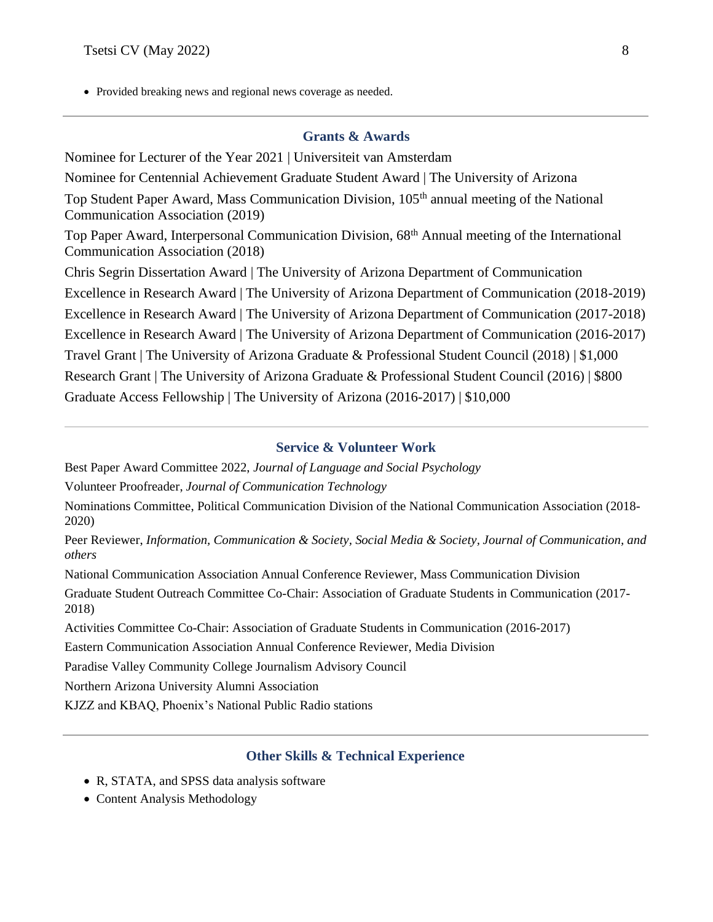• Provided breaking news and regional news coverage as needed.

# **Grants & Awards**

Nominee for Lecturer of the Year 2021 | Universiteit van Amsterdam Nominee for Centennial Achievement Graduate Student Award | The University of Arizona Top Student Paper Award, Mass Communication Division, 105th annual meeting of the National Communication Association (2019) Top Paper Award, Interpersonal Communication Division, 68th Annual meeting of the International Communication Association (2018) Chris Segrin Dissertation Award | The University of Arizona Department of Communication Excellence in Research Award | The University of Arizona Department of Communication (2018-2019) Excellence in Research Award | The University of Arizona Department of Communication (2017-2018) Excellence in Research Award | The University of Arizona Department of Communication (2016-2017) Travel Grant | The University of Arizona Graduate & Professional Student Council (2018) | \$1,000 Research Grant | The University of Arizona Graduate & Professional Student Council (2016) | \$800 Graduate Access Fellowship | The University of Arizona (2016-2017) | \$10,000

### **Service & Volunteer Work**

Best Paper Award Committee 2022, *Journal of Language and Social Psychology*

Volunteer Proofreader, *Journal of Communication Technology*

Nominations Committee, Political Communication Division of the National Communication Association (2018- 2020)

Peer Reviewer, *Information, Communication & Society, Social Media & Society, Journal of Communication, and others*

National Communication Association Annual Conference Reviewer, Mass Communication Division

Graduate Student Outreach Committee Co-Chair: Association of Graduate Students in Communication (2017- 2018)

Activities Committee Co-Chair: Association of Graduate Students in Communication (2016-2017)

Eastern Communication Association Annual Conference Reviewer, Media Division

Paradise Valley Community College Journalism Advisory Council

Northern Arizona University Alumni Association

KJZZ and KBAQ, Phoenix's National Public Radio stations

### **Other Skills & Technical Experience**

- R, STATA, and SPSS data analysis software
- Content Analysis Methodology